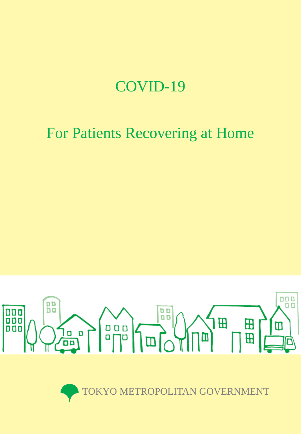# COVID-19

# For Patients Recovering at Home



TOKYO METROPOLITAN GOVERNMENT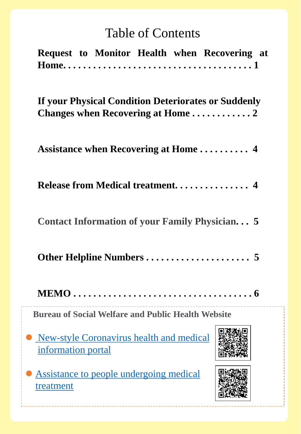# Table of Contents

| Request to Monitor Health when Recovering at                     |  |  |
|------------------------------------------------------------------|--|--|
| If your Physical Condition Deteriorates or Suddenly              |  |  |
|                                                                  |  |  |
| Release from Medical treatment 4                                 |  |  |
| <b>Contact Information of your Family Physician 5</b>            |  |  |
|                                                                  |  |  |
| <b>MEMO .</b>                                                    |  |  |
| <b>Bureau of Social Welfare and Public Health Website</b>        |  |  |
| • New-style Coronavirus health and medical<br>information portal |  |  |
| Assistance to people undergoing medical<br>treatment             |  |  |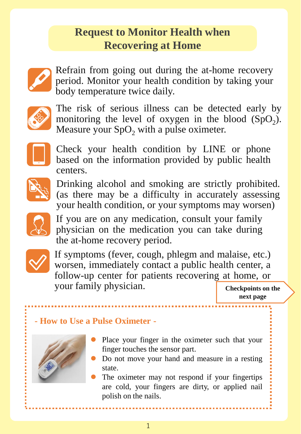## **Request to Monitor Health when Recovering at Home**



Refrain from going out during the at-home recovery period. Monitor your health condition by taking your body temperature twice daily.



The risk of serious illness can be detected early by monitoring the level of oxygen in the blood  $(SpO<sub>2</sub>)$ . Measure your  $SpO<sub>2</sub>$  with a pulse oximeter.



Check your health condition by LINE or phone based on the information provided by public health centers.



Drinking alcohol and smoking are strictly prohibited. (as there may be a difficulty in accurately assessing your health condition, or your symptoms may worsen)



If you are on any medication, consult your family physician on the medication you can take during the at-home recovery period.



If symptoms (fever, cough, phlegm and malaise, etc.) worsen, immediately contact a public health center, a follow-up center for patients recovering at home, or your family physician.

**Checkpoints on the next page**

### **- How to Use a Pulse Oximeter -**



- Place your finger in the oximeter such that your finger touches the sensor part.
- Do not move your hand and measure in a resting state.
- The oximeter may not respond if your fingertips are cold, your fingers are dirty, or applied nail polish on the nails.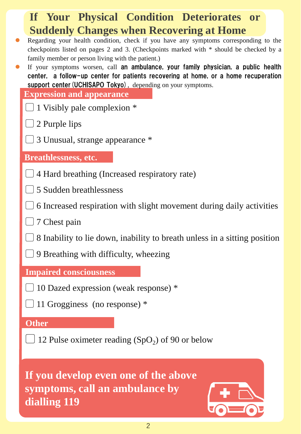| If Your Physical Condition Deteriorates or                                                                                                                                     |  |  |  |
|--------------------------------------------------------------------------------------------------------------------------------------------------------------------------------|--|--|--|
| <b>Suddenly Changes when Recovering at Home</b><br>$\bullet$                                                                                                                   |  |  |  |
| Regarding your health condition, check if you have any symptoms corresponding to the<br>checkpoints listed on pages 2 and 3. (Checkpoints marked with * should be checked by a |  |  |  |
| family member or person living with the patient.)<br>If your symptoms worsen, call an ambulance, your family physician, a public health<br>$\bullet$                           |  |  |  |
| center, a follow-up center for patients recovering at home, or a home recuperation                                                                                             |  |  |  |
| support center (UCHISAPO Tokyo), depending on your symptoms.<br><b>Expression and appearance</b>                                                                               |  |  |  |
| $\Box$ 1 Visibly pale complexion $*$                                                                                                                                           |  |  |  |
| $\Box$ 2 Purple lips                                                                                                                                                           |  |  |  |
| 3 Unusual, strange appearance *                                                                                                                                                |  |  |  |
|                                                                                                                                                                                |  |  |  |
| <b>Breathlessness, etc.</b>                                                                                                                                                    |  |  |  |
| $\Box$ 4 Hard breathing (Increased respiratory rate)                                                                                                                           |  |  |  |
| 5 Sudden breathlessness                                                                                                                                                        |  |  |  |
| 6 Increased respiration with slight movement during daily activities                                                                                                           |  |  |  |
| $\Box$ 7 Chest pain                                                                                                                                                            |  |  |  |
| 8 Inability to lie down, inability to breath unless in a sitting position                                                                                                      |  |  |  |
| $\bigcup$ 9 Breathing with difficulty, wheezing                                                                                                                                |  |  |  |
| <b>Impaired consciousness</b>                                                                                                                                                  |  |  |  |
| 10 Dazed expression (weak response) *                                                                                                                                          |  |  |  |
| 11 Grogginess (no response) *                                                                                                                                                  |  |  |  |
| <b>Other</b>                                                                                                                                                                   |  |  |  |
| 12 Pulse oximeter reading $(SpO2)$ of 90 or below                                                                                                                              |  |  |  |
|                                                                                                                                                                                |  |  |  |
|                                                                                                                                                                                |  |  |  |
| If you develop even one of the above<br>symptoms, call an ambulance by                                                                                                         |  |  |  |
| dialling 119                                                                                                                                                                   |  |  |  |
|                                                                                                                                                                                |  |  |  |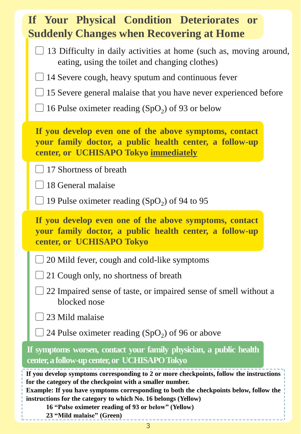|                                                                                                                                                                                                                                                                                                                                                                                                     | If Your Physical Condition Deteriorates or<br><b>Suddenly Changes when Recovering at Home</b>                                                  |  |  |
|-----------------------------------------------------------------------------------------------------------------------------------------------------------------------------------------------------------------------------------------------------------------------------------------------------------------------------------------------------------------------------------------------------|------------------------------------------------------------------------------------------------------------------------------------------------|--|--|
|                                                                                                                                                                                                                                                                                                                                                                                                     | $\Box$ 13 Difficulty in daily activities at home (such as, moving around,<br>eating, using the toilet and changing clothes)                    |  |  |
|                                                                                                                                                                                                                                                                                                                                                                                                     | 14 Severe cough, heavy sputum and continuous fever                                                                                             |  |  |
|                                                                                                                                                                                                                                                                                                                                                                                                     | 15 Severe general malaise that you have never experienced before                                                                               |  |  |
|                                                                                                                                                                                                                                                                                                                                                                                                     | 16 Pulse oximeter reading $(SpO2)$ of 93 or below                                                                                              |  |  |
| If you develop even one of the above symptoms, contact<br>your family doctor, a public health center, a follow-up<br>center, or UCHISAPO Tokyo immediately                                                                                                                                                                                                                                          |                                                                                                                                                |  |  |
|                                                                                                                                                                                                                                                                                                                                                                                                     | $\Box$ 17 Shortness of breath                                                                                                                  |  |  |
|                                                                                                                                                                                                                                                                                                                                                                                                     | 18 General malaise                                                                                                                             |  |  |
|                                                                                                                                                                                                                                                                                                                                                                                                     | $\Box$ 19 Pulse oximeter reading (SpO <sub>2</sub> ) of 94 to 95                                                                               |  |  |
|                                                                                                                                                                                                                                                                                                                                                                                                     | If you develop even one of the above symptoms, contact<br>your family doctor, a public health center, a follow-up<br>center, or UCHISAPO Tokyo |  |  |
|                                                                                                                                                                                                                                                                                                                                                                                                     | $\Box$ 20 Mild fever, cough and cold-like symptoms                                                                                             |  |  |
|                                                                                                                                                                                                                                                                                                                                                                                                     | 21 Cough only, no shortness of breath                                                                                                          |  |  |
|                                                                                                                                                                                                                                                                                                                                                                                                     | 22 Impaired sense of taste, or impaired sense of smell without a<br>blocked nose                                                               |  |  |
|                                                                                                                                                                                                                                                                                                                                                                                                     | 23 Mild malaise                                                                                                                                |  |  |
|                                                                                                                                                                                                                                                                                                                                                                                                     | 24 Pulse oximeter reading $(SpO2)$ of 96 or above                                                                                              |  |  |
| If symptoms worsen, contact your family physician, a public health<br>center, a follow-up center, or UCHISAPO Tokyo                                                                                                                                                                                                                                                                                 |                                                                                                                                                |  |  |
| If you develop symptoms corresponding to 2 or more checkpoints, follow the instructions<br>for the category of the checkpoint with a smaller number.<br>Example: If you have symptoms corresponding to both the checkpoints below, follow the<br>instructions for the category to which No. 16 belongs (Yellow)<br>16 "Pulse oximeter reading of 93 or below" (Yellow)<br>23 "Mild malaise" (Green) |                                                                                                                                                |  |  |

3

L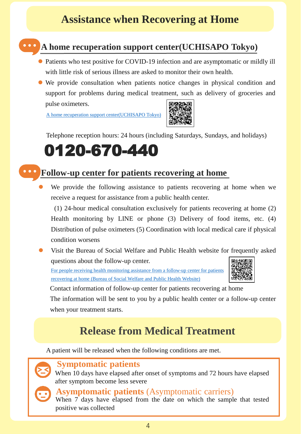### **Assistance when Recovering at Home**



### **A home recuperation support center(UCHISAPO Tokyo)**

- Patients who test positive for COVID-19 infection and are asymptomatic or mildly ill with little risk of serious illness are asked to monitor their own health.
- We provide consultation when patients notice changes in physical condition and support for problems during medical treatment, such as delivery of groceries and pulse oximeters.

A home recuperation support [center\(UCHISAPO](https://translation2.j-server.com/LUCFUKUSHI/ns/tl.cgi/https:/www.fukushihoken.metro.tokyo.lg.jp/iryo/kansen/corona_portal/shien/uchisapo_tokyo.html?SLANG=ja&TLANG=en&XMODE=0&XCHARSET=utf-8&XJSID=0) Tokyo)



Telephone reception hours: 24 hours (including Saturdays, Sundays, and holidays)

# 0120-670-440

### **Follow-up center for patients recovering at home**

 We provide the following assistance to patients recovering at home when we receive a request for assistance from a public health center.

(1) 24-hour medical consultation exclusively for patients recovering at home (2) Health monitoring by LINE or phone (3) Delivery of food items, etc. (4) Distribution of pulse oximeters (5) Coordination with local medical care if physical condition worsens

 Visit the Bureau of Social Welfare and Public Health website for frequently asked questions about the follow-up center.

For people receiving health [monitoring](about:blank) assistance from a follow-up center for patients [recovering](about:blank) at home (Bureau of Social Welfare and Public Health Website)



Contact information of follow-up center for patients recovering at home

The information will be sent to you by a public health center or a follow-up center when your treatment starts.

### **Release from Medical Treatment**

A patient will be released when the following conditions are met.



#### **Symptomatic patients**

When 10 days have elapsed after onset of symptoms and 72 hours have elapsed after symptom become less severe



#### **Asymptomatic patients** (Asymptomatic carriers)

When 7 days have elapsed from the date on which the sample that tested positive was collected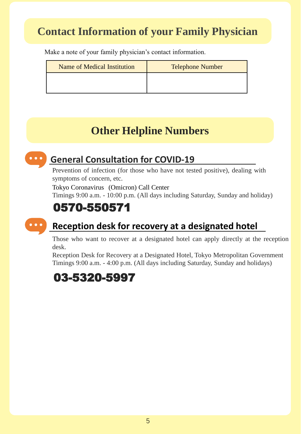## **Contact Information of your Family Physician**

Make a note of your family physician's contact information.

| <b>Name of Medical Institution</b> | <b>Telephone Number</b> |
|------------------------------------|-------------------------|
|                                    |                         |
|                                    |                         |

## **Other Helpline Numbers**



### **General Consultation for COVID-19**

Prevention of infection (for those who have not tested positive), dealing with symptoms of concern, etc.

Tokyo Coronavirus (Omicron) Call Center

Timings 9:00 a.m. - 10:00 p.m. (All days including Saturday, Sunday and holiday)

## 0570-550571



### **Reception desk for recovery at a designated hotel**

Those who want to recover at a designated hotel can apply directly at the reception desk.

Reception Desk for Recovery at a Designated Hotel, Tokyo Metropolitan Government Timings 9:00 a.m. - 4:00 p.m. (All days including Saturday, Sunday and holidays)

### 03-5320-5997